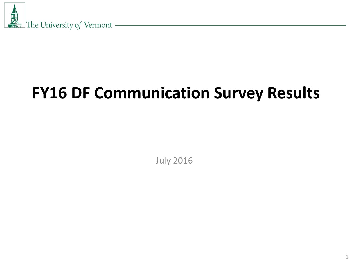

# **FY16 DF Communication Survey Results**

July 2016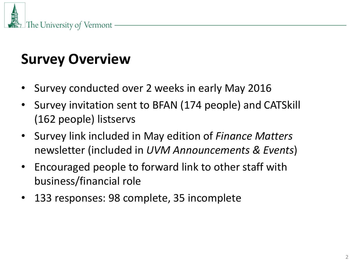

# **Survey Overview**

- Survey conducted over 2 weeks in early May 2016
- Survey invitation sent to BFAN (174 people) and CATSkill (162 people) listservs
- Survey link included in May edition of *Finance Matters*  newsletter (included in *UVM Announcements & Events*)
- Encouraged people to forward link to other staff with business/financial role
- 133 responses: 98 complete, 35 incomplete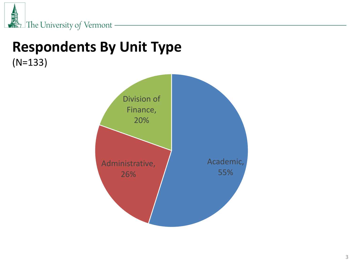

## **Respondents By Unit Type** (N=133)

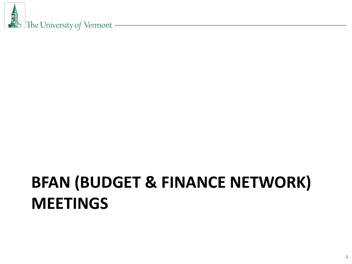# **BFAN (BUDGET & FINANCE NETWORK) MEETINGS**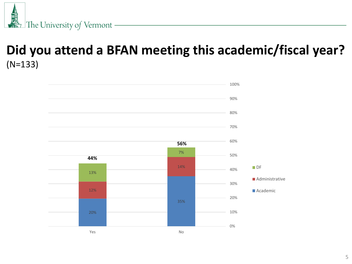

### **Did you attend a BFAN meeting this academic/fiscal year?** (N=133)

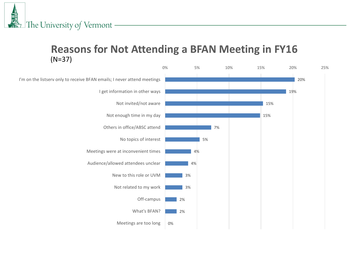#### **Reasons for Not Attending a BFAN Meeting in FY16** (N=37)

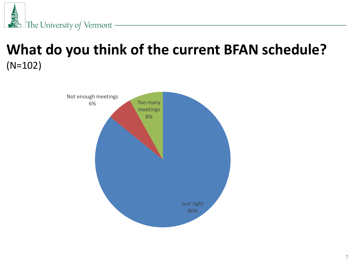

## **What do you think of the current BFAN schedule?** (N=102)

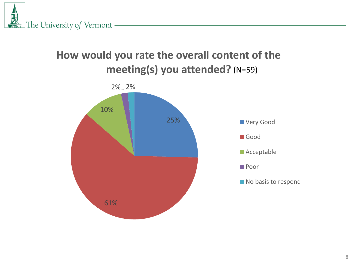

### **How would you rate the overall content of the meeting(s) you attended?** (N=59)

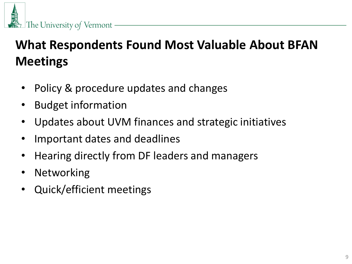

## **What Respondents Found Most Valuable About BFAN Meetings**

- Policy & procedure updates and changes
- Budget information
- Updates about UVM finances and strategic initiatives
- Important dates and deadlines
- Hearing directly from DF leaders and managers
- Networking
- Quick/efficient meetings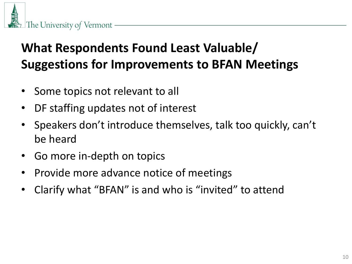

## **What Respondents Found Least Valuable/ Suggestions for Improvements to BFAN Meetings**

- Some topics not relevant to all
- DF staffing updates not of interest
- Speakers don't introduce themselves, talk too quickly, can't be heard
- Go more in-depth on topics
- Provide more advance notice of meetings
- Clarify what "BFAN" is and who is "invited" to attend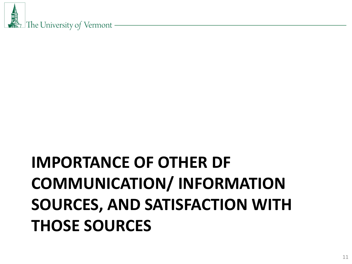# **IMPORTANCE OF OTHER DF COMMUNICATION/ INFORMATION SOURCES, AND SATISFACTION WITH THOSE SOURCES**

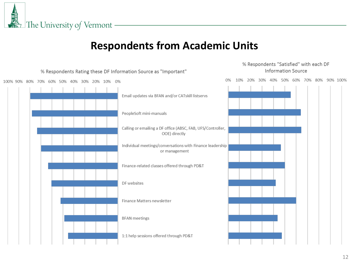

#### **Respondents from Academic Units**

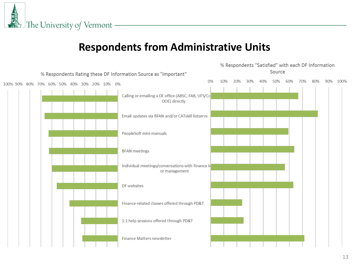

#### **Respondents from Administrative Units**

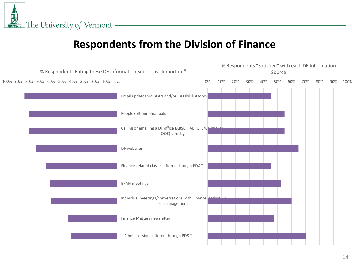

#### **Respondents from the Division of Finance**

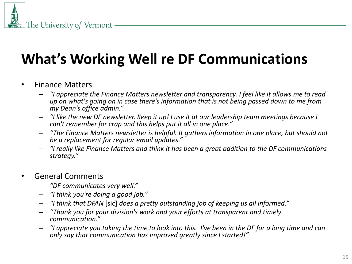## **What's Working Well re DF Communications**

- Finance Matters
	- *"I appreciate the Finance Matters newsletter and transparency. I feel like it allows me to read up on what's going on in case there's information that is not being passed down to me from my Dean's office admin."*
	- *"I like the new DF newsletter. Keep it up! I use it at our leadership team meetings because I can't remember for crap and this helps put it all in one place."*
	- *"The Finance Matters newsletter is helpful. It gathers information in one place, but should not be a replacement for regular email updates."*
	- *"I really like Finance Matters and think it has been a great addition to the DF communications strategy."*
- General Comments
	- *"DF communicates very well."*
	- *"I think you're doing a good job."*
	- *"I think that DFAN* [sic] *does a pretty outstanding job of keeping us all informed."*
	- *"Thank you for your division's work and your efforts at transparent and timely communication."*
	- *"I appreciate you taking the time to look into this. I've been in the DF for a long time and can only say that communication has improved greatly since I started!"*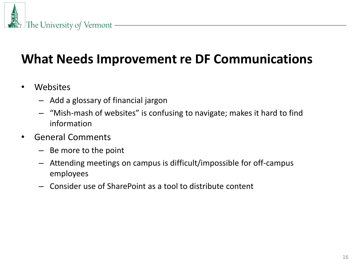

## **What Needs Improvement re DF Communications**

- Websites
	- Add a glossary of financial jargon
	- "Mish-mash of websites" is confusing to navigate; makes it hard to find information
- General Comments
	- Be more to the point
	- Attending meetings on campus is difficult/impossible for off-campus employees
	- Consider use of SharePoint as a tool to distribute content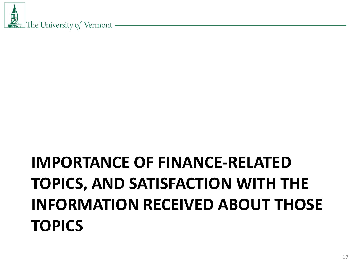# **IMPORTANCE OF FINANCE-RELATED TOPICS, AND SATISFACTION WITH THE INFORMATION RECEIVED ABOUT THOSE TOPICS**

丽 The University of Vermont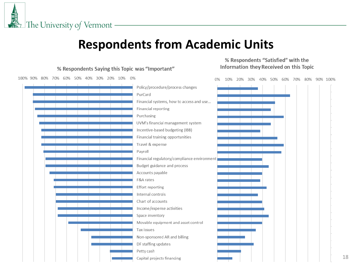鳳凰 The University of Vermont -

### **Respondents from Academic Units**

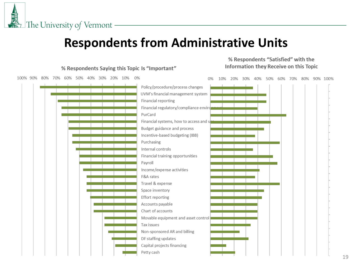### **Respondents from Administrative Units**

![](_page_18_Figure_2.jpeg)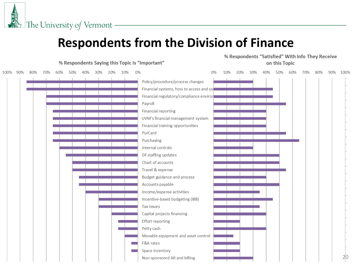鳳凰 The University of Vermont -

### **Respondents from the Division of Finance**

![](_page_19_Figure_2.jpeg)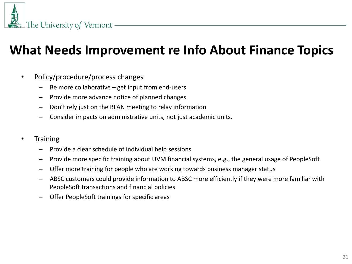### **What Needs Improvement re Info About Finance Topics**

- Policy/procedure/process changes
	- Be more collaborative  $-$  get input from end-users
	- Provide more advance notice of planned changes
	- Don't rely just on the BFAN meeting to relay information
	- Consider impacts on administrative units, not just academic units.
- Training
	- Provide a clear schedule of individual help sessions
	- Provide more specific training about UVM financial systems, e.g., the general usage of PeopleSoft
	- Offer more training for people who are working towards business manager status
	- ABSC customers could provide information to ABSC more efficiently if they were more familiar with PeopleSoft transactions and financial policies
	- Offer PeopleSoft trainings for specific areas